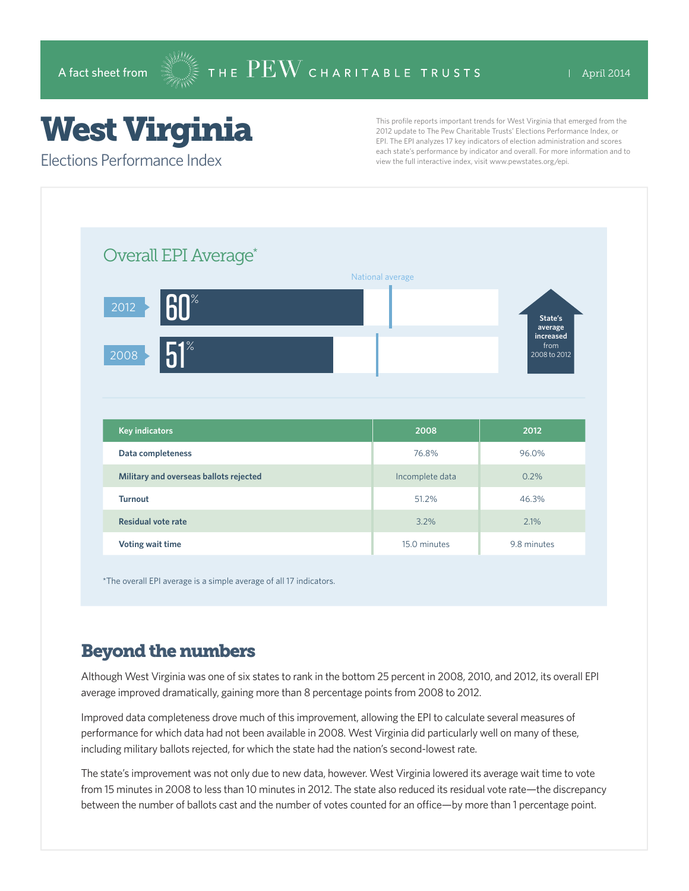## West Virginia

Elections Performance Index

This profile reports important trends for West Virginia that emerged from the 2012 update to The Pew Charitable Trusts' Elections Performance Index, or EPI. The EPI analyzes 17 key indicators of election administration and scores each state's performance by indicator and overall. For more information and to view the full interactive index, visit www.pewstates.org/epi.

| Overall EPI Average*                   |                  |                                   |
|----------------------------------------|------------------|-----------------------------------|
|                                        | National average |                                   |
| <b>60°</b><br>$\overline{2012}$        |                  | State's<br>average                |
| $51^\circ$<br>2008                     |                  | increased<br>from<br>2008 to 2012 |
|                                        |                  |                                   |
|                                        |                  |                                   |
| <b>Key indicators</b>                  | 2008             | 2012                              |
| Data completeness                      | 76.8%            | 96.0%                             |
| Military and overseas ballots rejected | Incomplete data  | 0.2%                              |
| <b>Turnout</b>                         | 51.2%            | 46.3%                             |
| <b>Residual vote rate</b>              | 3.2%             | 2.1%                              |

\*The overall EPI average is a simple average of all 17 indicators.

## Beyond the numbers

Although West Virginia was one of six states to rank in the bottom 25 percent in 2008, 2010, and 2012, its overall EPI average improved dramatically, gaining more than 8 percentage points from 2008 to 2012.

Improved data completeness drove much of this improvement, allowing the EPI to calculate several measures of performance for which data had not been available in 2008. West Virginia did particularly well on many of these, including military ballots rejected, for which the state had the nation's second-lowest rate.

The state's improvement was not only due to new data, however. West Virginia lowered its average wait time to vote from 15 minutes in 2008 to less than 10 minutes in 2012. The state also reduced its residual vote rate—the discrepancy between the number of ballots cast and the number of votes counted for an office—by more than 1 percentage point.